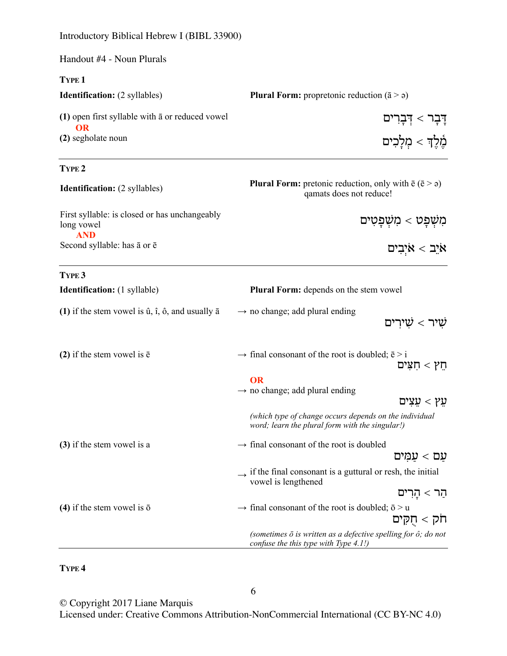Introductory Biblical Hebrew I (BIBL 33900)

| Handout #4 - Noun Plurals                                                          |                                                                                                                         |
|------------------------------------------------------------------------------------|-------------------------------------------------------------------------------------------------------------------------|
| <b>TYPE 1</b>                                                                      |                                                                                                                         |
| <b>Identification:</b> (2 syllables)                                               | <b>Plural Form:</b> propretonic reduction $(\bar{a} > \rho)$                                                            |
| $(1)$ open first syllable with $\bar{a}$ or reduced vowel<br>OR                    | דְּבְר > דְּבְרִים                                                                                                      |
| (2) segholate noun                                                                 | מֵ֫לֵךְ > מִלַּבִים                                                                                                     |
| TYPE <sub>2</sub>                                                                  |                                                                                                                         |
| <b>Identification:</b> (2 syllables)                                               | <b>Plural Form:</b> pretonic reduction, only with $\bar{e}$ ( $\bar{e}$ > $\varphi$ )<br>qamats does not reduce!        |
| First syllable: is closed or has unchangeably<br>long vowel<br><b>AND</b>          | מִשְׁפָט > מִשְׁפָטִים                                                                                                  |
| Second syllable: has $\bar{a}$ or $\bar{e}$                                        | אַיֲב $x <$ אַיִּבִים                                                                                                   |
| TYPE <sub>3</sub>                                                                  |                                                                                                                         |
| <b>Identification:</b> (1 syllable)                                                | Plural Form: depends on the stem vowel                                                                                  |
| (1) if the stem vowel is $\hat{u}$ , $\hat{i}$ , $\hat{o}$ , and usually $\bar{a}$ | $\rightarrow$ no change; add plural ending<br>שירים $<$                                                                 |
| (2) if the stem vowel is $\bar{e}$                                                 | $\rightarrow$ final consonant of the root is doubled; $\bar{e}$ > i<br>$\nabla$ תץ $<$ חצים                             |
|                                                                                    | <b>OR</b>                                                                                                               |
|                                                                                    | $\rightarrow$ no change; add plural ending<br>עֵץ > עֵצִים                                                              |
|                                                                                    | (which type of change occurs depends on the individual<br>word; learn the plural form with the singular!)               |
| (3) if the stem vowel is a<br>(4) if the stem vowel is $\bar{o}$                   | $\rightarrow$ final consonant of the root is doubled<br>עם > עמִים                                                      |
|                                                                                    | $\rightarrow$ if the final consonant is a guttural or resh, the initial<br>vowel is lengthened                          |
|                                                                                    | הַר > הָרִים                                                                                                            |
|                                                                                    | $\rightarrow$ final consonant of the root is doubled; $\bar{o}$ > u<br>חק > חָקִים                                      |
|                                                                                    | (sometimes $\bar{o}$ is written as a defective spelling for $\hat{o}$ ; do not<br>confuse the this type with Type 4.1!) |

**TYPE 4**

© Copyright 2017 Liane Marquis

Licensed under: Creative Commons Attribution-NonCommercial International (CC BY-NC 4.0)